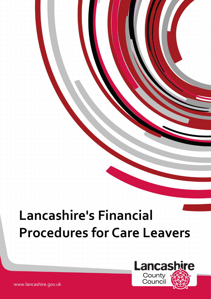# **Lancashire's Financial Procedures for Care Leavers**



www.lancashire.gov.uk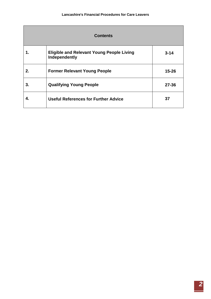| <b>Contents</b> |                                                                   |           |
|-----------------|-------------------------------------------------------------------|-----------|
|                 | <b>Eligible and Relevant Young People Living</b><br>Independently | $3 - 14$  |
| 2.              | <b>Former Relevant Young People</b>                               | $15 - 26$ |
| 3.              | <b>Qualifying Young People</b>                                    | $27 - 36$ |
| 4.              | <b>Useful References for Further Advice</b>                       | 37        |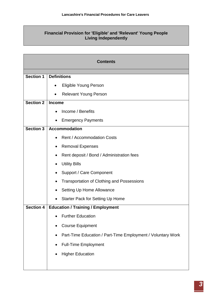# **Financial Provision for 'Eligible' and 'Relevant' Young People Living Independently**

|                  | <b>Contents</b>                                             |
|------------------|-------------------------------------------------------------|
|                  |                                                             |
| <b>Section 1</b> | <b>Definitions</b>                                          |
|                  | <b>Eligible Young Person</b><br>$\bullet$                   |
|                  | <b>Relevant Young Person</b><br>$\bullet$                   |
| <b>Section 2</b> | <b>Income</b>                                               |
|                  | Income / Benefits                                           |
|                  | <b>Emergency Payments</b>                                   |
| Section 3        | <b>Accommodation</b>                                        |
|                  | <b>Rent / Accommodation Costs</b>                           |
|                  | <b>Removal Expenses</b>                                     |
|                  | Rent deposit / Bond / Administration fees                   |
|                  | <b>Utility Bills</b>                                        |
|                  | <b>Support / Care Component</b>                             |
|                  | <b>Transportation of Clothing and Possessions</b>           |
|                  | Setting Up Home Allowance                                   |
|                  | <b>Starter Pack for Setting Up Home</b>                     |
| <b>Section 4</b> | <b>Education / Training / Employment</b>                    |
|                  | <b>Further Education</b>                                    |
|                  | <b>Course Equipment</b>                                     |
|                  | Part-Time Education / Part-Time Employment / Voluntary Work |
|                  | <b>Full-Time Employment</b>                                 |
|                  | <b>Higher Education</b>                                     |
|                  |                                                             |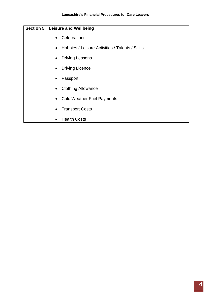| <b>Section 5</b> | <b>Leisure and Wellbeing</b>                                 |  |  |
|------------------|--------------------------------------------------------------|--|--|
|                  | Celebrations<br>$\bullet$                                    |  |  |
|                  | Hobbies / Leisure Activities / Talents / Skills<br>$\bullet$ |  |  |
|                  | <b>Driving Lessons</b><br>$\bullet$                          |  |  |
|                  | <b>Driving Licence</b><br>$\bullet$                          |  |  |
|                  | Passport<br>$\bullet$                                        |  |  |
|                  | <b>Clothing Allowance</b><br>$\bullet$                       |  |  |
|                  | <b>Cold Weather Fuel Payments</b><br>$\bullet$               |  |  |
|                  | <b>Transport Costs</b><br>$\bullet$                          |  |  |
|                  | <b>Health Costs</b><br>$\bullet$                             |  |  |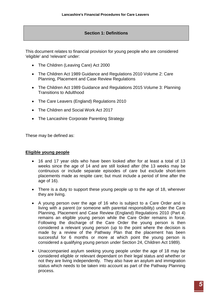# **Section 1: Definitions**

This document relates to financial provision for young people who are considered 'eligible' and 'relevant' under:

- The Children (Leaving Care) Act 2000
- The Children Act 1989 Guidance and Regulations 2010 Volume 2: Care Planning, Placement and Case Review Regulations
- The Children Act 1989 Guidance and Regulations 2015 Volume 3: Planning Transitions to Adulthood
- The Care Leavers (England) Regulations 2010
- The Children and Social Work Act 2017
- The Lancashire Corporate Parenting Strategy

These may be defined as:

# **Eligible young people**

- 16 and 17 year olds who have been looked after for at least a total of 13 weeks since the age of 14 and are still looked after (the 13 weeks may be continuous or include separate episodes of care but exclude short-term placements made as respite care; but must include a period of time after the age of 16).
- There is a duty to support these young people up to the age of 18, wherever they are living.
- A young person over the age of 16 who is subject to a Care Order and is living with a parent (or someone with parental responsibility) under the Care Planning, Placement and Case Review (England) Regulations 2010 (Part 4) remains an eligible young person while the Care Order remains in force. Following the discharge of the Care Order the young person is then considered a relevant young person (up to the point where the decision is made by a review of the Pathway Plan that the placement has been successful for 6 months or more at which point the young person is considered a qualifying young person under Section 24, Children Act 1989).
- Unaccompanied asylum seeking young people under the age of 18 may be considered eligible or relevant dependant on their legal status and whether or not they are living independently. They also have an asylum and immigration status which needs to be taken into account as part of the Pathway Planning process.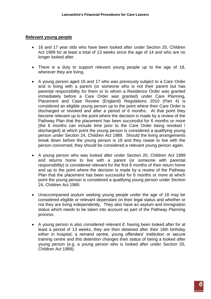#### **Relevant young people**

- 16 and 17 year olds who have been looked after under Section 20, Children Act 1989 for at least a total of 13 weeks since the age of 14 and who are no longer looked after.
- There is a duty to support relevant young people up to the age of 18, wherever they are living.
- A young person aged 16 and 17 who was previously subject to a Care Order and is living with a parent (or someone who is not their parent but has parental responsibility for them or to whom a Residence Order was granted immediately before a Care Order was granted) under Care Planning, Placement and Case Review (England) Regulations 2010 (Part 4) is considered an eligible young person up to the point where their Care Order is discharged or revoked and after a period of 6 months. At that point they become relevant up to the point where the decision is made by a review of the Pathway Plan that the placement has been successful for 6 months or more (the 6 months can include time prior to the Care Order being revoked / discharged) at which point the young person is considered a qualifying young person under Section 24, Children Act 1989. Should the living arrangements break down before the young person is 18 and they cease to live with the person concerned, they should be considered a relevant young person again.
- A young person who was looked after under Section 20, Children Act 1989 and returns home to live with a parent (or someone with parental responsibility) is considered relevant for the first 6 months of their return home and up to the point where the decision is made by a review of the Pathway Plan that the placement has been successful for 6 months or more at which point the young person is considered a qualifying young person under Section 24, Children Act 1989.
- Unaccompanied asylum seeking young people under the age of 18 may be considered eligible or relevant dependant on their legal status and whether or not they are living independently. They also have an asylum and immigration status which needs to be taken into account as part of the Pathway Planning process.
- A young person is also considered relevant if, having been looked after for at least a period of 13 weeks, they are then detained after their 16th birthday either in hospital, a remand centre, young offenders' institution or secure training centre and this detention changes their status of being a looked after young person (e.g. a young person who is looked after under Section 20, Children Act 1989).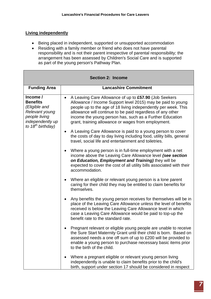# **Living independently**

- Being placed in independent, supported or unsupported accommodation
- Residing with a family member or friend who does not have parental responsibility and is not their parent irrespective of parental responsibility; the arrangement has been assessed by Children's Social Care and is supported as part of the young person's Pathway Plan.

|                                                                                                                               | <b>Section 2: Income</b>                                                                                                                                                                                                                                                                                                                                                             |
|-------------------------------------------------------------------------------------------------------------------------------|--------------------------------------------------------------------------------------------------------------------------------------------------------------------------------------------------------------------------------------------------------------------------------------------------------------------------------------------------------------------------------------|
| <b>Funding Area</b>                                                                                                           | <b>Lancashire Commitment</b>                                                                                                                                                                                                                                                                                                                                                         |
| Income /<br><b>Benefits</b><br>(Eligible and<br>Relevant young<br>people living<br>independently up<br>to $18^{th}$ birthday) | A Leaving Care Allowance of up to £57.90 (Job Seekers<br>$\bullet$<br>Allowance / Income Support level 2015) may be paid to young<br>people up to the age of 18 living independently per week. This<br>allowance will continue to be paid regardless of any other<br>income the young person has, such as a Further Education<br>grant, training allowance or wages from employment. |
|                                                                                                                               | A Leaving Care Allowance is paid to a young person to cover<br>$\bullet$<br>the costs of day to day living including food, utility bills, general<br>travel, social life and entertainment and toiletries.                                                                                                                                                                           |
|                                                                                                                               | Where a young person is in full-time employment with a net<br>$\bullet$<br>income above the Leaving Care Allowance level (see section<br>on Education, Employment and Training) they will be<br>expected to cover the cost of all utility bills associated with their<br>accommodation.                                                                                              |
|                                                                                                                               | Where an eligible or relevant young person is a lone parent<br>$\bullet$<br>caring for their child they may be entitled to claim benefits for<br>themselves.                                                                                                                                                                                                                         |
|                                                                                                                               | Any benefits the young person receives for themselves will be in<br>$\bullet$<br>place of the Leaving Care Allowance unless the level of benefits<br>received is below the Leaving Care Allowance level in which<br>case a Leaving Care Allowance would be paid to top-up the<br>benefit rate to the standard rate.                                                                  |
|                                                                                                                               | Pregnant relevant or eligible young people are unable to receive<br>the Sure Start Maternity Grant until their child is born. Based on<br>assessed needs a one off sum of up to £200 will be provided to<br>enable a young person to purchase necessary basic items prior<br>to the birth of the child.                                                                              |
|                                                                                                                               | Where a pregnant eligible or relevant young person living<br>independently is unable to claim benefits prior to the child's<br>birth, support under section 17 should be considered in respect                                                                                                                                                                                       |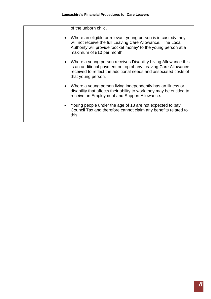| of the unborn child.<br>Where an eligible or relevant young person is in custody they<br>$\bullet$<br>will not receive the full Leaving Care Allowance. The Local<br>Authority will provide 'pocket money' to the young person at a<br>maximum of £10 per month.<br>Where a young person receives Disability Living Allowance this<br>$\bullet$<br>is an additional payment on top of any Leaving Care Allowance<br>received to reflect the additional needs and associated costs of<br>that young person.<br>Where a young person living independently has an illness or<br>$\bullet$<br>disability that affects their ability to work they may be entitled to<br>receive an Employment and Support Allowance.<br>Young people under the age of 18 are not expected to pay<br>$\bullet$<br>Council Tax and therefore cannot claim any benefits related to<br>this. |  |  |
|---------------------------------------------------------------------------------------------------------------------------------------------------------------------------------------------------------------------------------------------------------------------------------------------------------------------------------------------------------------------------------------------------------------------------------------------------------------------------------------------------------------------------------------------------------------------------------------------------------------------------------------------------------------------------------------------------------------------------------------------------------------------------------------------------------------------------------------------------------------------|--|--|
|                                                                                                                                                                                                                                                                                                                                                                                                                                                                                                                                                                                                                                                                                                                                                                                                                                                                     |  |  |
|                                                                                                                                                                                                                                                                                                                                                                                                                                                                                                                                                                                                                                                                                                                                                                                                                                                                     |  |  |
|                                                                                                                                                                                                                                                                                                                                                                                                                                                                                                                                                                                                                                                                                                                                                                                                                                                                     |  |  |
|                                                                                                                                                                                                                                                                                                                                                                                                                                                                                                                                                                                                                                                                                                                                                                                                                                                                     |  |  |
|                                                                                                                                                                                                                                                                                                                                                                                                                                                                                                                                                                                                                                                                                                                                                                                                                                                                     |  |  |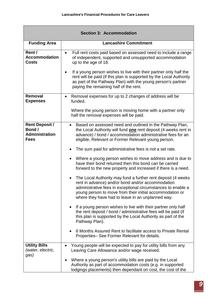|                                                                         | <b>Section 3: Accommodation</b>                                                                                                                                                                                                                                                                     |
|-------------------------------------------------------------------------|-----------------------------------------------------------------------------------------------------------------------------------------------------------------------------------------------------------------------------------------------------------------------------------------------------|
| <b>Funding Area</b>                                                     | <b>Lancashire Commitment</b>                                                                                                                                                                                                                                                                        |
| Rent /<br><b>Accommodation</b><br><b>Costs</b>                          | Full rent costs paid based on assessed need to include a range<br>$\bullet$<br>of independent, supported and unsupported accommodation<br>up to the age of 18.                                                                                                                                      |
|                                                                         | If a young person wishes to live with their partner only half the<br>$\bullet$<br>rent will be paid (if this plan is supported by the Local Authority<br>as part of the Pathway Plan) with the young person's partner<br>paying the remaining half of the rent.                                     |
| <b>Removal</b><br><b>Expenses</b>                                       | Removal expenses for up to 2 changes of address will be<br>$\bullet$<br>funded.                                                                                                                                                                                                                     |
|                                                                         | Where the young person is moving home with a partner only<br>half the removal expenses will be paid.                                                                                                                                                                                                |
| <b>Rent Deposit /</b><br>Bond /<br><b>Administration</b><br><b>Fees</b> | Based on assessed need and outlined in the Pathway Plan,<br>$\bullet$<br>the Local Authority will fund <b>one</b> rent deposit (4 weeks rent in<br>advance) / bond / accommodation administrative fees for an<br>eligible, Relevant or Former Relevant young person.                                |
|                                                                         | The sum paid for administrative fees is not a set rate.                                                                                                                                                                                                                                             |
|                                                                         | Where a young person wishes to move address and is due to<br>have their bond returned then this bond can be carried<br>forward to the new property and increased if there is a need.                                                                                                                |
|                                                                         | The Local Authority may fund a further rent deposit (4 weeks)<br>rent in advance) and/or bond and/or accommodation<br>administrative fees in exceptional circumstances to enable a<br>young person to move from their initial accommodation or<br>where they have had to leave in an unplanned way. |
|                                                                         | If a young person wishes to live with their partner only half<br>the rent deposit / bond / administrative fees will be paid (if<br>this plan is supported by the Local Authority as part of the<br>Pathway Plan).                                                                                   |
|                                                                         | 6 Months Assured Rent to facilitate access to Private Rental<br>Properties-See Former Relevant for details.                                                                                                                                                                                         |
| <b>Utility Bills</b><br>(water, electric,<br>gas)                       | Young people will be expected to pay for utility bills from any<br>$\bullet$<br>Leaving Care Allowance and/or wage received.                                                                                                                                                                        |
|                                                                         | Where a young person's utility bills are paid by the Local<br>$\bullet$<br>Authority as part of accommodation costs (e.g. in supported<br>lodgings placements) then dependant on cost, the cost of the                                                                                              |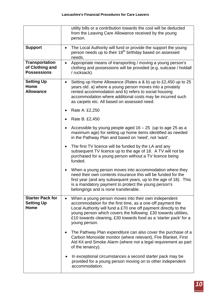|                                                                | utility bills or a contribution towards the cost will be deducted<br>from the Leaving Care Allowance received by the young<br>person.                                                                                                                                                                                                         |
|----------------------------------------------------------------|-----------------------------------------------------------------------------------------------------------------------------------------------------------------------------------------------------------------------------------------------------------------------------------------------------------------------------------------------|
| <b>Support</b>                                                 | The Local Authority will fund or provide the support the young<br>$\bullet$<br>person needs up to their 18 <sup>th</sup> birthday based on assessed<br>needs.                                                                                                                                                                                 |
| <b>Transportation</b><br>of Clothing and<br><b>Possessions</b> | Appropriate means of transporting / moving a young person's<br>$\bullet$<br>clothing and possessions will be provided (e.g. suitcase / holdall<br>/ rucksack).                                                                                                                                                                                |
| <b>Setting Up</b><br>Home<br><b>Allowance</b>                  | Setting up Home Allowance (Rates a & b) up to £2,450 up to 25<br>$\bullet$<br>years old. a) where a young person moves into a privately<br>rented accommodation and b) refers to social housing<br>accommodation where additional costs may be incurred such<br>as carpets etc. All based on assessed need.<br>Rate A: £2,250                 |
|                                                                | Rate B: £2,450                                                                                                                                                                                                                                                                                                                                |
|                                                                | Accessible by young people aged $16 - 25$ (up to age 25 as a<br>$\bullet$<br>maximum age) for setting up home items identified as needed<br>in the Pathway Plan and based on 'need', not 'want'.                                                                                                                                              |
|                                                                | The first TV licence will be funded by the LA and any<br>$\bullet$<br>subsequent TV licence up to the age of 18. A TV will not be<br>purchased for a young person without a TV licence being<br>funded.                                                                                                                                       |
|                                                                | When a young person moves into accommodation where they<br>$\bullet$<br>need their own contents insurance this will be funded for the<br>first year (and any subsequent years, up to the age of 18). This<br>is a mandatory payment to protect the young person's<br>belongings and is none transferable.                                     |
| <b>Starter Pack for</b><br><b>Setting Up</b><br>Home           | When a young person moves into their own independent<br>accommodation for the first time, as a one-off payment the<br>Local Authority will fund a £70 one off payment directly to the<br>young person which covers the following: £30 towards utilities,<br>£10 towards cleaning, £30 towards food as a 'starter pack' for a<br>young person. |
|                                                                | The Pathway Plan expenditure can also cover the purchase of a<br>$\bullet$<br>Carbon Monoxide monitor (where relevant), Fire Blanket, First<br>Aid Kit and Smoke Alarm (where not a legal requirement as part<br>of the tenancy).                                                                                                             |
|                                                                | In exceptional circumstances a second starter pack may be<br>provided for a young person moving on to other independent<br>accommodation.                                                                                                                                                                                                     |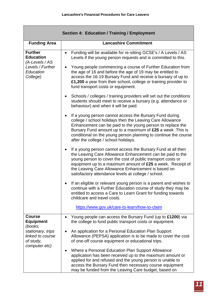|                                                                                                      | <b>Section 4: Education / Training / Employment</b>                                                                                                                                                                                                                                                                                                                                |
|------------------------------------------------------------------------------------------------------|------------------------------------------------------------------------------------------------------------------------------------------------------------------------------------------------------------------------------------------------------------------------------------------------------------------------------------------------------------------------------------|
| <b>Funding Area</b>                                                                                  | <b>Lancashire Commitment</b>                                                                                                                                                                                                                                                                                                                                                       |
| <b>Further</b><br><b>Education</b><br>$(A$ -Levels / AS<br>Levels / Further<br>Education<br>College) | Funding will be available for re-sitting GCSE's / A Levels / AS<br>$\bullet$<br>Levels if the young person requests and is committed to this.                                                                                                                                                                                                                                      |
|                                                                                                      | Young people commencing a course of Further Education from<br>$\bullet$<br>the age of 16 and before the age of 19 may be entitled to<br>access the 16-19 Bursary Fund and receive a bursary of up to<br>£1,200 a year from their school, college or training provider to<br>fund transport costs or equipment.                                                                     |
|                                                                                                      | Schools / colleges / training providers will set out the conditions<br>$\bullet$<br>students should meet to receive a bursary (e.g. attendance or<br>behaviour) and when it will be paid.                                                                                                                                                                                          |
|                                                                                                      | If a young person cannot access the Bursary Fund during<br>$\bullet$<br>college / school holidays then the Leaving Care Allowance<br>Enhancement can be paid to the young person to replace the<br>Bursary Fund amount up to a maximum of £25 a week. This is<br>conditional on the young person planning to continue the course<br>after the college / school holidays.           |
|                                                                                                      | If a young person cannot access the Bursary Fund at all then<br>$\bullet$<br>the Leaving Care Allowance Enhancement can be paid to the<br>young person to cover the cost of public transport costs or<br>equipment up to a maximum amount of $£25$ a week. Receipt of<br>the Leaving Care Allowance Enhancement is based on<br>satisfactory attendance levels at college / school. |
|                                                                                                      | If an eligible or relevant young person is a parent and wishes to<br>continue with a Further Education course of study they may be<br>entitled to access a Care to Learn Grant for funding towards<br>childcare and travel costs.                                                                                                                                                  |
|                                                                                                      | https://www.gov.uk/care-to-learn/how-to-claim                                                                                                                                                                                                                                                                                                                                      |
| <b>Course</b><br><b>Equipment</b><br>(books,                                                         | Young people can access the Bursary Fund (up to £1200) via<br>$\bullet$<br>the college to fund public transport costs or equipment.                                                                                                                                                                                                                                                |
| stationary, trips<br>linked to course<br>of study,<br>computer etc)                                  | An application for a Personal Education Plan Support<br>$\bullet$<br>Allowance (PEPSA) application is to be made to cover the cost<br>of one-off course equipment or educational trips.                                                                                                                                                                                            |
|                                                                                                      | Where a Personal Education Plan Support Allowance<br>٠<br>application has been received up to the maximum amount or<br>applied for and refused and the young person is unable to<br>access the Bursary Fund then necessary course equipment<br>may be funded from the Leaving Care budget, based on                                                                                |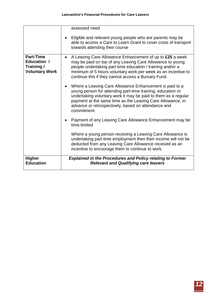|                                                                        | assessed need<br>Eligible and relevant young people who are parents may be<br>$\bullet$<br>able to access a Care to Learn Grant to cover costs of transport<br>towards attending their course                                                                                                                                                                                                                                                                                                                                     |
|------------------------------------------------------------------------|-----------------------------------------------------------------------------------------------------------------------------------------------------------------------------------------------------------------------------------------------------------------------------------------------------------------------------------------------------------------------------------------------------------------------------------------------------------------------------------------------------------------------------------|
| <b>Part-Time</b><br>Education /<br>Training /<br><b>Voluntary Work</b> | A Leaving Care Allowance Enhancement of up to £25 a week<br>$\bullet$<br>may be paid on top of any Leaving Care Allowance to young<br>people undertaking part-time education / training and/or a<br>minimum of 5 hours voluntary work per week as an incentive to<br>continue this if they cannot access a Bursary Fund.<br>Where a Leaving Care Allowance Enhancement is paid to a<br>$\bullet$<br>young person for attending part-time training, education or<br>undertaking voluntary work it may be paid to them as a regular |
|                                                                        | payment at the same time as the Leaving Care Allowance, in<br>advance or retrospectively, based on attendance and<br>commitment.<br>Payment of any Leaving Care Allowance Enhancement may be<br>$\bullet$<br>time-limited                                                                                                                                                                                                                                                                                                         |
|                                                                        | Where a young person receiving a Leaving Care Allowance is<br>undertaking part-time employment then their income will not be<br>deducted from any Leaving Care Allowance received as an<br>incentive to encourage them to continue to work.                                                                                                                                                                                                                                                                                       |
| <b>Higher</b><br><b>Education</b>                                      | <b>Explained in the Procedures and Policy relating to Former</b><br><b>Relevant and Qualifying care leavers</b>                                                                                                                                                                                                                                                                                                                                                                                                                   |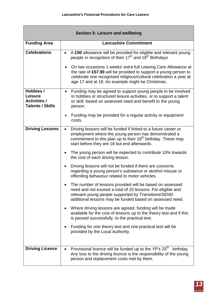|                                                                               | <b>Section 5: Leisure and wellbeing</b>                                                                                                                                                                                                                                                                                                                                                                                                     |
|-------------------------------------------------------------------------------|---------------------------------------------------------------------------------------------------------------------------------------------------------------------------------------------------------------------------------------------------------------------------------------------------------------------------------------------------------------------------------------------------------------------------------------------|
| <b>Funding Area</b>                                                           | <b>Lancashire Commitment</b>                                                                                                                                                                                                                                                                                                                                                                                                                |
| <b>Celebrations</b>                                                           | A £50 allowance will be provided for eligible and relevant young<br>$\bullet$<br>people in recognition of their 17 <sup>th</sup> and 18 <sup>th</sup> Birthdays<br>On two occasions 1 weeks' extra full Leaving Care Allowance at<br>$\bullet$<br>the rate of £57.90 will be provided to support a young person to<br>celebrate one recognised religious/cultural celebration a year at<br>age 17 and at 18. An example might be Christmas. |
| Hobbies /<br><b>Leisure</b><br><b>Activities /</b><br><b>Talents / Skills</b> | Funding may be agreed to support young people to be involved<br>$\bullet$<br>in hobbies or structured leisure activities, or to support a talent<br>or skill; based on assessed need and benefit to the young<br>person.                                                                                                                                                                                                                    |
|                                                                               | Funding may be provided for a regular activity or equipment<br>٠<br>costs.                                                                                                                                                                                                                                                                                                                                                                  |
| <b>Driving Lessons</b>                                                        | Driving lessons will be funded if linked to a future career or<br>$\bullet$<br>employment where the young person has demonstrated a<br>commitment to this plan up to their 18 <sup>th</sup> birthday. These may<br>start before they are 18 but end afterwards.                                                                                                                                                                             |
|                                                                               | The young person will be expected to contribute 10% towards<br>$\bullet$<br>the cost of each driving lesson.                                                                                                                                                                                                                                                                                                                                |
|                                                                               | Driving lessons will not be funded if there are concerns<br>$\bullet$<br>regarding a young person's substance or alcohol misuse or<br>offending behaviour related to motor vehicles.                                                                                                                                                                                                                                                        |
|                                                                               | The number of lessons provided will be based on assessed<br>need and not exceed a total of 20 lessons. For eligible and<br>relevant young people supported by Transitions/SEND<br>additional lessons may be funded based on assessed need.                                                                                                                                                                                                  |
|                                                                               | Where driving lessons are agreed, funding will be made<br>available for the cost of lessons up to the theory test and if this<br>is passed successfully, to the practical test.                                                                                                                                                                                                                                                             |
|                                                                               | Funding for one theory test and one practical test will be<br>provided by the Local Authority.                                                                                                                                                                                                                                                                                                                                              |
| <b>Driving Licence</b>                                                        | Provisional licence will be funded up to the YP's 25 <sup>th</sup><br>birthday.<br>$\bullet$<br>Any loss to the driving licence is the responsibility of the young<br>person and replacement costs met by them.                                                                                                                                                                                                                             |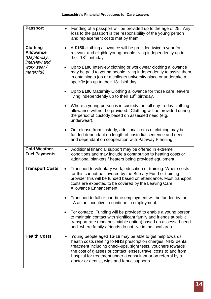| <b>Passport</b>                                                      | Funding of a passport will be provided up to the age of 25. Any<br>$\bullet$<br>loss to the passport is the responsibility of the young person<br>and replacement costs met by them.                                                                                                                                                                                                      |
|----------------------------------------------------------------------|-------------------------------------------------------------------------------------------------------------------------------------------------------------------------------------------------------------------------------------------------------------------------------------------------------------------------------------------------------------------------------------------|
| <b>Clothing</b><br><b>Allowance</b><br>(Day-to-day,<br>interview and | A £150 clothing allowance will be provided twice a year for<br>$\bullet$<br>relevant and eligible young people living independently up to<br>their 18 <sup>th</sup> birthday.                                                                                                                                                                                                             |
| work wear/<br>maternity)                                             | Up to £100 Interview clothing or work wear clothing allowance<br>$\bullet$<br>may be paid to young people living independently to assist them<br>in obtaining a job or a college/ university place or undertake a<br>specific job up to their 18 <sup>th</sup> birthday.                                                                                                                  |
|                                                                      | Up to £100 Maternity Clothing allowance for those care leavers<br>$\bullet$<br>living independently up to their 18 <sup>th</sup> birthday.                                                                                                                                                                                                                                                |
|                                                                      | Where a young person is in custody the full day-to-day clothing<br>allowance will not be provided. Clothing will be provided during<br>the period of custody based on assessed need (e.g.<br>underwear).                                                                                                                                                                                  |
|                                                                      | On release from custody, additional items of clothing may be<br>funded dependant on length of custodial sentence and need<br>and dependant on cooperation with Pathway Planning.                                                                                                                                                                                                          |
| <b>Cold Weather</b><br><b>Fuel Payments</b>                          | Additional financial support may be offered in extreme<br>$\bullet$<br>conditions and may include a contribution to heating costs or<br>additional blankets / heaters being provided equipment.                                                                                                                                                                                           |
| <b>Transport Costs</b>                                               | Transport to voluntary work, education or training: Where costs<br>$\bullet$<br>for this cannot be covered by the Bursary Fund or training<br>provider this will be funded based on attendance. Most transport<br>costs are expected to be covered by the Leaving Care<br>Allowance Enhancement.                                                                                          |
|                                                                      | Transport to full or part-time employment will be funded by the<br>LA as an incentive to continue in employment.                                                                                                                                                                                                                                                                          |
|                                                                      | For contact: Funding will be provided to enable a young person<br>$\bullet$<br>to maintain contact with significant family and friends at public<br>transport rate (cheapest viable option) based on assessed need<br>and where family / friends do not live in the local area.                                                                                                           |
| <b>Health Costs</b>                                                  | Young people aged 16-18 may be able to get help towards<br>$\bullet$<br>health costs relating to NHS prescription charges, NHS dental<br>treatment including check-ups, sight tests, vouchers towards<br>the cost of glasses or contact lenses, travel costs to and from<br>hospital for treatment under a consultant or on referral by a<br>doctor or dentist, wigs and fabric supports. |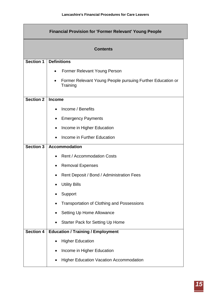Г

| <b>Financial Provision for 'Former Relevant' Young People</b> |                                                                        |
|---------------------------------------------------------------|------------------------------------------------------------------------|
|                                                               | <b>Contents</b>                                                        |
| <b>Section 1</b>                                              | <b>Definitions</b>                                                     |
|                                                               | <b>Former Relevant Young Person</b>                                    |
|                                                               | Former Relevant Young People pursuing Further Education or<br>Training |
| <b>Section 2</b>                                              | <b>Income</b>                                                          |
|                                                               | Income / Benefits                                                      |
|                                                               | <b>Emergency Payments</b>                                              |
|                                                               | Income in Higher Education<br>$\bullet$                                |
|                                                               | Income in Further Education                                            |
| <b>Section 3</b>                                              | <b>Accommodation</b>                                                   |
|                                                               | <b>Rent / Accommodation Costs</b>                                      |
|                                                               | <b>Removal Expenses</b>                                                |
|                                                               | Rent Deposit / Bond / Administration Fees                              |
|                                                               | <b>Utility Bills</b>                                                   |
|                                                               | Support                                                                |
|                                                               | <b>Transportation of Clothing and Possessions</b>                      |
|                                                               | Setting Up Home Allowance                                              |
|                                                               | <b>Starter Pack for Setting Up Home</b>                                |
| <b>Section 4</b>                                              | <b>Education / Training / Employment</b>                               |
|                                                               | <b>Higher Education</b>                                                |
|                                                               | Income in Higher Education                                             |
|                                                               | <b>Higher Education Vacation Accommodation</b>                         |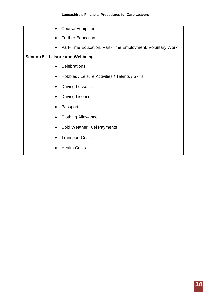|                  | <b>Course Equipment</b><br>$\bullet$                                   |
|------------------|------------------------------------------------------------------------|
|                  | <b>Further Education</b>                                               |
|                  | Part-Time Education, Part-Time Employment, Voluntary Work<br>$\bullet$ |
| <b>Section 5</b> | <b>Leisure and Wellbeing</b>                                           |
|                  | Celebrations                                                           |
|                  | Hobbies / Leisure Activities / Talents / Skills                        |
|                  | <b>Driving Lessons</b>                                                 |
|                  | <b>Driving Licence</b>                                                 |
|                  | Passport                                                               |
|                  | <b>Clothing Allowance</b>                                              |
|                  | <b>Cold Weather Fuel Payments</b>                                      |
|                  | <b>Transport Costs</b>                                                 |
|                  | <b>Health Costs</b>                                                    |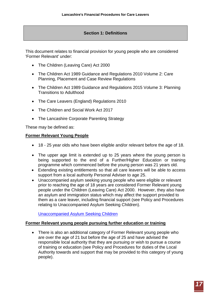# **Section 1: Definitions**

This document relates to financial provision for young people who are considered 'Former Relevant' under:

- The Children (Leaving Care) Act 2000
- The Children Act 1989 Guidance and Regulations 2010 Volume 2: Care Planning, Placement and Case Review Regulations
- The Children Act 1989 Guidance and Regulations 2015 Volume 3: Planning Transitions to Adulthood
- The Care Leavers (England) Regulations 2010
- The Children and Social Work Act 2017
- The Lancashire Corporate Parenting Strategy

These may be defined as:

# **Former Relevant Young People**

- 18 25 year olds who have been eligible and/or relevant before the age of 18.
- The upper age limit is extended up to 25 years where the young person is being supported to the end of a Further/Higher Education or training programme which commenced before the young person was 21 years old.
- Extending existing entitlements so that all care leavers will be able to access support from a local authority Personal Adviser to age 25.
- Unaccompanied asylum seeking young people who were eligible or relevant prior to reaching the age of 18 years are considered Former Relevant young people under the Children (Leaving Care) Act 2000. However, they also have an asylum and immigration status which may affect the support provided to them as a care leaver, including financial support (see Policy and Procedures relating to Unaccompanied Asylum Seeking Children).

[Unaccompanied Asylum Seeking Children](http://www.proceduresonline.com/lancashirecsc/p_uasc.html?zoom_highlight=unaccompanied+asylum+seekers)

#### **Former Relevant young people pursuing further education or training**

• There is also an additional category of Former Relevant young people who are over the age of 21 but before the age of 25 and have advised the responsible local authority that they are pursuing or wish to pursue a course of training or education (see Policy and Procedures for duties of the Local Authority towards and support that may be provided to this category of young people).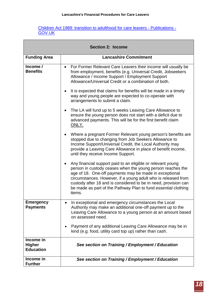#### [Children Act 1989: transition to adulthood for care leavers -](https://www.gov.uk/government/publications/children-act-1989-transition-to-adulthood-for-care-leavers) Publications - [GOV.UK](https://www.gov.uk/government/publications/children-act-1989-transition-to-adulthood-for-care-leavers)

T

| <b>Section 2: Income</b>                       |                                                                                                                                                                                                                                                                                                                                                                                                     |
|------------------------------------------------|-----------------------------------------------------------------------------------------------------------------------------------------------------------------------------------------------------------------------------------------------------------------------------------------------------------------------------------------------------------------------------------------------------|
| <b>Funding Area</b>                            | <b>Lancashire Commitment</b>                                                                                                                                                                                                                                                                                                                                                                        |
| Income /<br><b>Benefits</b>                    | For Former Relevant Care Leavers their income will usually be<br>$\bullet$<br>from employment, benefits (e.g. Universal Credit, Jobseekers<br>Allowance / Income Support / Employment Support<br>Allowance/Universal Credit or a combination of both.                                                                                                                                               |
|                                                | It is expected that claims for benefits will be made in a timely<br>$\bullet$<br>way and young people are expected to co-operate with<br>arrangements to submit a claim.                                                                                                                                                                                                                            |
|                                                | The LA will fund up to 5 weeks Leaving Care Allowance to<br>$\bullet$<br>ensure the young person does not start with a deficit due to<br>advanced payments. This will be for the first benefit claim<br>ONLY.                                                                                                                                                                                       |
|                                                | Where a pregnant Former Relevant young person's benefits are<br>$\bullet$<br>stopped due to changing from Job Seekers Allowance to<br>Income Support/Universal Credit, the Local Authority may<br>provide a Leaving Care Allowance in place of benefit income,<br>until they receive Income Support.                                                                                                |
|                                                | Any financial support paid to an eligible or relevant young<br>person in custody ceases when the young person reaches the<br>age of 18. One-off payments may be made in exceptional<br>circumstances. However, if a young adult who is released from<br>custody after 18 and is considered to be in need, provision can<br>be made as part of the Pathway Plan to fund essential clothing<br>items. |
| <b>Emergency</b><br><b>Payments</b>            | In exceptional and emergency circumstances the Local<br>Authority may make an additional one-off payment up to the<br>Leaving Care Allowance to a young person at an amount based<br>on assessed need.                                                                                                                                                                                              |
|                                                | Payment of any additional Leaving Care Allowance may be in<br>٠<br>kind (e.g. food, utility card top up) rather than cash.                                                                                                                                                                                                                                                                          |
| Income in<br><b>Higher</b><br><b>Education</b> | See section on Training / Employment / Education                                                                                                                                                                                                                                                                                                                                                    |
| Income in<br><b>Further</b>                    | See section on Training / Employment / Education                                                                                                                                                                                                                                                                                                                                                    |

 $\blacksquare$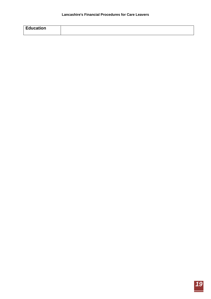| ᄃᆚ<br>عدم في<br>---<br>aucation<br>- 1<br>$\cdots$ |  |
|----------------------------------------------------|--|
|                                                    |  |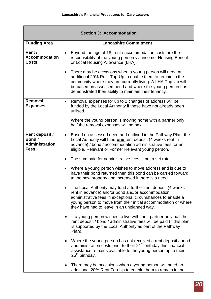|                                                                  | <b>Section 3: Accommodation</b>                                                                                                                                                                                                                                                                                         |
|------------------------------------------------------------------|-------------------------------------------------------------------------------------------------------------------------------------------------------------------------------------------------------------------------------------------------------------------------------------------------------------------------|
| <b>Funding Area</b>                                              | <b>Lancashire Commitment</b>                                                                                                                                                                                                                                                                                            |
| Rent /<br><b>Accommodation</b><br><b>Costs</b>                   | Beyond the age of 18, rent / accommodation costs are the<br>$\bullet$<br>responsibility of the young person via income, Housing Benefit<br>or Local Housing Allowance (LHA).                                                                                                                                            |
|                                                                  | There may be occasions when a young person will need an<br>$\bullet$<br>additional 20% Rent Top-Up to enable them to remain in the<br>community where they are currently living. A LHA Top-Up will<br>be based on assessed need and where the young person has<br>demonstrated their ability to maintain their tenancy. |
| Removal<br><b>Expenses</b>                                       | Removal expenses for up to 2 changes of address will be<br>$\bullet$<br>funded by the Local Authority if these have not already been<br>utilised.                                                                                                                                                                       |
|                                                                  | Where the young person is moving home with a partner only<br>half the removal expenses will be paid.                                                                                                                                                                                                                    |
| Rent deposit /<br>Bond /<br><b>Administration</b><br><b>Fees</b> | Based on assessed need and outlined in the Pathway Plan, the<br>$\bullet$<br>Local Authority will fund <b>one</b> rent deposit (4 weeks rent in<br>advance) / bond / accommodation administrative fees for an<br>eligible, Relevant or Former Relevant young person.                                                    |
|                                                                  | The sum paid for administrative fees is not a set rate.                                                                                                                                                                                                                                                                 |
|                                                                  | Where a young person wishes to move address and is due to<br>$\bullet$<br>have their bond returned then this bond can be carried forward<br>to the new property and increased if there is a need.                                                                                                                       |
|                                                                  | The Local Authority may fund a further rent deposit (4 weeks<br>rent in advance) and/or bond and/or accommodation<br>administrative fees in exceptional circumstances to enable a<br>young person to move from their initial accommodation or where<br>they have had to leave in an unplanned way.                      |
|                                                                  | If a young person wishes to live with their partner only half the<br>rent deposit / bond / administrative fees will be paid (if this plan<br>is supported by the Local Authority as part of the Pathway<br>Plan).                                                                                                       |
|                                                                  | Where the young person has not received a rent deposit / bond<br>$\bullet$<br>/ administration costs prior to their 21 <sup>st</sup> birthday this financial<br>assistance remains available to the young person up to their<br>25 <sup>th</sup> birthday.                                                              |
|                                                                  | There may be occasions when a young person will need an<br>additional 20% Rent Top-Up to enable them to remain in the                                                                                                                                                                                                   |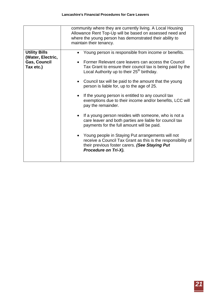| <b>Utility Bills</b><br>Young person is responsible from income or benefits.<br>(Water, Electric,<br><b>Gas, Council</b><br>Former Relevant care leavers can access the Council<br>Tax etc.)<br>Tax Grant to ensure their council tax is being paid by the<br>Local Authority up to their 25 <sup>th</sup> birthday.<br>Council tax will be paid to the amount that the young<br>$\bullet$<br>person is liable for, up to the age of 25.<br>If the young person is entitled to any council tax<br>$\bullet$<br>exemptions due to their income and/or benefits, LCC will<br>pay the remainder.<br>If a young person resides with someone, who is not a<br>care leaver and both parties are liable for council tax<br>payments for the full amount will be paid.<br>Young people in Staying Put arrangements will not<br>receive a Council Tax Grant as this is the responsibility of<br>their previous foster carers. (See Staying Put<br>Procedure on Tri-X). |  |
|---------------------------------------------------------------------------------------------------------------------------------------------------------------------------------------------------------------------------------------------------------------------------------------------------------------------------------------------------------------------------------------------------------------------------------------------------------------------------------------------------------------------------------------------------------------------------------------------------------------------------------------------------------------------------------------------------------------------------------------------------------------------------------------------------------------------------------------------------------------------------------------------------------------------------------------------------------------|--|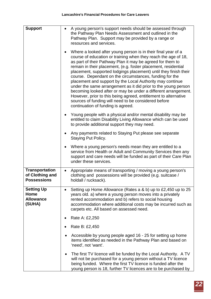| <b>Support</b>                                                 | A young person's support needs should be assessed through<br>$\bullet$<br>the Pathway Plan Needs Assessment and outlined in the<br>Pathway Plan. Support may be provided by a range or<br>resources and services.                                                                                                                                                                                                                                                                                                                                                                                                                                                                                                                                                             |
|----------------------------------------------------------------|-------------------------------------------------------------------------------------------------------------------------------------------------------------------------------------------------------------------------------------------------------------------------------------------------------------------------------------------------------------------------------------------------------------------------------------------------------------------------------------------------------------------------------------------------------------------------------------------------------------------------------------------------------------------------------------------------------------------------------------------------------------------------------|
|                                                                | Where a looked after young person is in their final year of a<br>$\bullet$<br>course of education or training when they reach the age of 18,<br>as part of their Pathway Plan it may be agreed for them to<br>remain in their placement, (e.g. foster placement, residential<br>placement, supported lodgings placement) until they finish their<br>course. Dependant on the circumstances, funding for the<br>placement and support by the Local Authority may continue<br>under the same arrangement as it did prior to the young person<br>becoming looked after or may be under a different arrangement.<br>However, prior to this being agreed, entitlement to alternative<br>sources of funding will need to be considered before<br>continuation of funding is agreed. |
|                                                                | Young people with a physical and/or mental disability may be<br>$\bullet$<br>entitled to claim Disability Living Allowance which can be used<br>to provide additional support they may need.                                                                                                                                                                                                                                                                                                                                                                                                                                                                                                                                                                                  |
|                                                                | Any payments related to Staying Put please see separate<br>٠<br><b>Staying Put Policy.</b>                                                                                                                                                                                                                                                                                                                                                                                                                                                                                                                                                                                                                                                                                    |
|                                                                | Where a young person's needs mean they are entitled to a<br>$\bullet$<br>service from Health or Adult and Community Services then any<br>support and care needs will be funded as part of their Care Plan<br>under these services.                                                                                                                                                                                                                                                                                                                                                                                                                                                                                                                                            |
| <b>Transportation</b><br>of Clothing and<br><b>Possessions</b> | Appropriate means of transporting / moving a young person's<br>$\bullet$<br>clothing and possessions will be provided (e.g. suitcase /<br>holdall / rucksack).                                                                                                                                                                                                                                                                                                                                                                                                                                                                                                                                                                                                                |
| <b>Setting Up</b><br>Home<br><b>Allowance</b><br>(SUHA)        | Setting up Home Allowance (Rates a & b) up to £2,450 up to 25<br>$\bullet$<br>years old. a) where a young person moves into a privately<br>rented accommodation and b) refers to social housing<br>accommodation where additional costs may be incurred such as<br>carpets etc. All based on assessed need.                                                                                                                                                                                                                                                                                                                                                                                                                                                                   |
|                                                                | Rate A: £2,250                                                                                                                                                                                                                                                                                                                                                                                                                                                                                                                                                                                                                                                                                                                                                                |
|                                                                | Rate B: £2,450<br>$\bullet$                                                                                                                                                                                                                                                                                                                                                                                                                                                                                                                                                                                                                                                                                                                                                   |
|                                                                | Accessible by young people aged 16 - 25 for setting up home<br>$\bullet$<br>items identified as needed in the Pathway Plan and based on<br>'need', not 'want'.                                                                                                                                                                                                                                                                                                                                                                                                                                                                                                                                                                                                                |
|                                                                | The first TV licence will be funded by the Local Authority. A TV<br>٠<br>will not be purchased for a young person without a TV licence<br>being funded. Where the first TV licence is funded after the<br>young person is 18, further TV licences are to be purchased by                                                                                                                                                                                                                                                                                                                                                                                                                                                                                                      |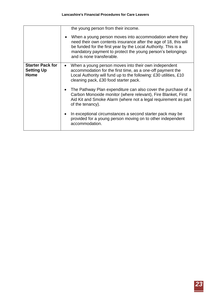|                                                             | the young person from their income.<br>When a young person moves into accommodation where they<br>need their own contents insurance after the age of 18, this will<br>be funded for the first year by the Local Authority. This is a<br>mandatory payment to protect the young person's belongings<br>and is none transferable. |
|-------------------------------------------------------------|---------------------------------------------------------------------------------------------------------------------------------------------------------------------------------------------------------------------------------------------------------------------------------------------------------------------------------|
| <b>Starter Pack for</b><br><b>Setting Up</b><br><b>Home</b> | When a young person moves into their own independent<br>$\bullet$<br>accommodation for the first time, as a one-off payment the<br>Local Authority will fund up to the following: £30 utilities, £10<br>cleaning pack, £30 food starter pack.                                                                                   |
|                                                             | The Pathway Plan expenditure can also cover the purchase of a<br>Carbon Monoxide monitor (where relevant), Fire Blanket, First<br>Aid Kit and Smoke Alarm (where not a legal requirement as part<br>of the tenancy).                                                                                                            |
|                                                             | In exceptional circumstances a second starter pack may be<br>provided for a young person moving on to other independent<br>accommodation.                                                                                                                                                                                       |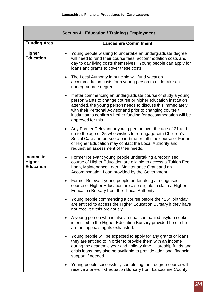|                                                | <b>Section 4: Education / Training / Employment</b>                                                                                                                                                                                                                                                                                                                |
|------------------------------------------------|--------------------------------------------------------------------------------------------------------------------------------------------------------------------------------------------------------------------------------------------------------------------------------------------------------------------------------------------------------------------|
| <b>Funding Area</b>                            | <b>Lancashire Commitment</b>                                                                                                                                                                                                                                                                                                                                       |
| <b>Higher</b><br><b>Education</b>              | Young people wishing to undertake an undergraduate degree<br>$\bullet$<br>will need to fund their course fees, accommodation costs and<br>day to day living costs themselves. Young people can apply for<br>loans and grants to cover these costs.                                                                                                                 |
|                                                | The Local Authority in principle will fund vacation<br>$\bullet$<br>accommodation costs for a young person to undertake an<br>undergraduate degree.                                                                                                                                                                                                                |
|                                                | If after commencing an undergraduate course of study a young<br>$\bullet$<br>person wants to change course or higher education institution<br>attended, the young person needs to discuss this immediately<br>with their Personal Advisor and prior to changing course /<br>institution to confirm whether funding for accommodation will be<br>approved for this. |
|                                                | Any Former Relevant or young person over the age of 21 and<br>$\bullet$<br>up to the age of 25 who wishes to re-engage with Children's<br>Social Care and pursue a part-time or full-time course of Further<br>or Higher Education may contact the Local Authority and<br>request an assessment of their needs.                                                    |
| Income in<br><b>Higher</b><br><b>Education</b> | Former Relevant young people undertaking a recognised<br>$\bullet$<br>course of Higher Education are eligible to access a Tuition Fee<br>Loan, Maintenance Loan, Maintenance Grant and an<br>Accommodation Loan provided by the Government.                                                                                                                        |
|                                                | Former Relevant young people undertaking a recognised<br>$\bullet$<br>course of Higher Education are also eligible to claim a Higher<br>Education Bursary from their Local Authority.                                                                                                                                                                              |
|                                                | Young people commencing a course before their 25 <sup>th</sup> birthday<br>$\bullet$<br>are entitled to access the Higher Education Bursary if they have<br>not received this previously.                                                                                                                                                                          |
|                                                | A young person who is also an unaccompanied asylum seeker<br>$\bullet$<br>is entitled to the Higher Education Bursary provided he or she<br>are not appeals rights exhausted.                                                                                                                                                                                      |
|                                                | Young people will be expected to apply for any grants or loans<br>$\bullet$<br>they are entitled to in order to provide them with an income<br>during the academic year and holiday time. Hardship funds and<br>crisis loans may also be available to provide additional financial<br>support if needed.                                                           |
|                                                | Young people successfully completing their degree course will<br>receive a one-off Graduation Bursary from Lancashire County                                                                                                                                                                                                                                       |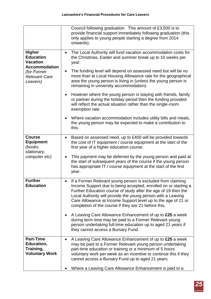|                                                                         | Council following graduation. This amount of £3,500 is to<br>provide financial support immediately following graduation (this<br>only applies to young people starting a degree from 2014<br>onwards).                                                                                                                                                                                                 |
|-------------------------------------------------------------------------|--------------------------------------------------------------------------------------------------------------------------------------------------------------------------------------------------------------------------------------------------------------------------------------------------------------------------------------------------------------------------------------------------------|
| <b>Higher</b><br><b>Education</b><br><b>Vacation</b>                    | The Local Authority will fund vacation accommodation costs for<br>$\bullet$<br>the Christmas, Easter and summer break up to 15 weeks per<br>year.                                                                                                                                                                                                                                                      |
| <b>Accommodation</b><br>(for Former<br><b>Relevant Care</b><br>Leavers) | The funding level will depend on assessed need but will be no<br>$\bullet$<br>more than at Local Housing Allowance rate for the geographical<br>area the young person is living in (unless the young person is<br>remaining in university accommodation).                                                                                                                                              |
|                                                                         | However where the young person is staying with friends, family<br>$\bullet$<br>or partner during the holiday period then the funding provided<br>will reflect the actual situation rather than the single-room<br>exemption rate.                                                                                                                                                                      |
|                                                                         | Where vacation accommodation includes utility bills and meals,<br>$\bullet$<br>the young person may be expected to make a contribution to<br>this.                                                                                                                                                                                                                                                     |
| <b>Course</b><br><b>Equipment</b><br>(books,<br>stationary,             | Based on assessed need, up to £400 will be provided towards<br>$\bullet$<br>the cost of IT equipment / course equipment at the start of the<br>first year of a higher education course.                                                                                                                                                                                                                |
| computer etc)                                                           | This payment may be deferred by the young person and paid at<br>$\bullet$<br>the start of subsequent years of the course if the young person<br>has appropriate IT / course equipment at the start of the first<br>year.                                                                                                                                                                               |
| <b>Further</b><br><b>Education</b>                                      | If a Former Relevant young person is excluded from claiming<br>$\bullet$<br>Income Support due to being accepted, enrolled on or starting a<br>Further Education course of study after the age of 19 then the<br>Local Authority will provide the young person with a Leaving<br>Care Allowance at Income Support level up to the age of 21 or<br>completion of the course if they are 21 before this. |
|                                                                         | A Leaving Care Allowance Enhancement of up to £25 a week<br>$\bullet$<br>during term time may be paid to a Former Relevant young<br>person undertaking full-time education up to aged 21 years if<br>they cannot access a Bursary Fund.                                                                                                                                                                |
| <b>Part-Time</b><br>Education,                                          | A Leaving Care Allowance Enhancement of up to £25 a week<br>$\bullet$<br>may be paid to a Former Relevant young person undertaking                                                                                                                                                                                                                                                                     |
| Training,                                                               | part-time education or training or a minimum of 5 hours                                                                                                                                                                                                                                                                                                                                                |
| <b>Voluntary Work</b>                                                   | voluntary work per week as an incentive to continue this if they<br>cannot access a Bursary Fund up to aged 21 years.                                                                                                                                                                                                                                                                                  |
|                                                                         | Where a Leaving Care Allowance Enhancement is paid to a                                                                                                                                                                                                                                                                                                                                                |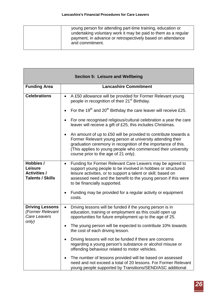,我们也不能在这里,我们也不能在这里,我们也不能在这里,我们也不能在这里,我们也不能在这里,我们也不能在这里,我们也不能在这里,我们也不能在这里,我们也不能会不<br>第一章 一个人的时候,我们也不能在这里,我们也不能在这里,我们也不能在这里,我们也不能在这里,我们也不能在这里,我们也不能在这里,我们也不能在这里,我们也不能会

**Contract Contract** 

|                                                                               | <b>Section 5: Leisure and Wellbeing</b>                                                                                                                                                                                                                                                                             |
|-------------------------------------------------------------------------------|---------------------------------------------------------------------------------------------------------------------------------------------------------------------------------------------------------------------------------------------------------------------------------------------------------------------|
| <b>Funding Area</b>                                                           | <b>Lancashire Commitment</b>                                                                                                                                                                                                                                                                                        |
| <b>Celebrations</b>                                                           | A £50 allowance will be provided for Former Relevant young<br>$\bullet$<br>people in recognition of their 21 <sup>st</sup> Birthday.                                                                                                                                                                                |
|                                                                               | For the 19 <sup>th</sup> and 20 <sup>th</sup> Birthday the care leaver will receive £25.<br>$\bullet$                                                                                                                                                                                                               |
|                                                                               | For one recognised religious/cultural celebration a year the care<br>$\bullet$<br>leaver will receive a gift of £25, this includes Christmas.                                                                                                                                                                       |
|                                                                               | An amount of up to £50 will be provided to contribute towards a<br>$\bullet$<br>Former Relevant young person at university attending their<br>graduation ceremony in recognition of the importance of this.<br>(This applies to young people who commenced their university<br>course prior to the age of 21 only). |
| Hobbies /<br><b>Leisure</b><br><b>Activities /</b><br><b>Talents / Skills</b> | Funding for Former Relevant Care Leavers may be agreed to<br>$\bullet$<br>support young people to be involved in hobbies or structured<br>leisure activities, or to support a talent or skill; based on<br>assessed need and the benefit to the young person if this were<br>to be financially supported.           |
|                                                                               | Funding may be provided for a regular activity or equipment<br>٠<br>costs.                                                                                                                                                                                                                                          |
| <b>Driving Lessons</b><br>(Former Relevant<br>Care Leavers<br>only)           | Driving lessons will be funded if the young person is in<br>$\bullet$<br>education, training or employment as this could open up<br>opportunities for future employment up to the age of 25.                                                                                                                        |
|                                                                               | The young person will be expected to contribute 10% towards<br>٠<br>the cost of each driving lesson.                                                                                                                                                                                                                |
|                                                                               | Driving lessons will not be funded if there are concerns<br>regarding a young person's substance or alcohol misuse or<br>offending behaviour related to motor vehicles.                                                                                                                                             |
|                                                                               | The number of lessons provided will be based on assessed<br>$\bullet$<br>need and not exceed a total of 20 lessons. For Former Relevant<br>young people supported by Transitions/SEND/ASC additional                                                                                                                |

٦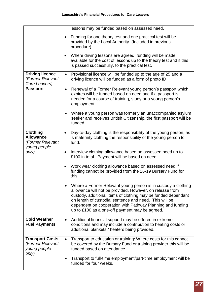|                                                                         | lessons may be funded based on assessed need.                                                                                                                                                                                                                                                                                                                        |
|-------------------------------------------------------------------------|----------------------------------------------------------------------------------------------------------------------------------------------------------------------------------------------------------------------------------------------------------------------------------------------------------------------------------------------------------------------|
|                                                                         | Funding for one theory test and one practical test will be<br>٠<br>provided by the Local Authority. (Included in previous<br>procedure).                                                                                                                                                                                                                             |
|                                                                         | Where driving lessons are agreed, funding will be made<br>available for the cost of lessons up to the theory test and if this<br>is passed successfully, to the practical test.                                                                                                                                                                                      |
| <b>Driving licence</b><br>(Former Relevant<br>Care Leavers)             | Provisional licence will be funded up to the age of 25 and a<br>$\bullet$<br>driving licence will be funded as a form of photo ID.                                                                                                                                                                                                                                   |
| <b>Passport</b>                                                         | Renewal of a Former Relevant young person's passport which<br>$\bullet$<br>expires will be funded based on need and if a passport is<br>needed for a course of training, study or a young person's<br>employment.                                                                                                                                                    |
|                                                                         | Where a young person was formerly an unaccompanied asylum<br>seeker and receives British Citizenship, the first passport will be<br>funded.                                                                                                                                                                                                                          |
| <b>Clothing</b><br><b>Allowance</b><br>(Former Relevant<br>young people | Day-to-day clothing is the responsibility of the young person, as<br>$\bullet$<br>is maternity clothing the responsibility of the young person to<br>fund.                                                                                                                                                                                                           |
| only)                                                                   | Interview clothing allowance based on assessed need up to<br>$\bullet$<br>£100 in total. Payment will be based on need.                                                                                                                                                                                                                                              |
|                                                                         | Work wear clothing allowance based on assessed need if<br>$\bullet$<br>funding cannot be provided from the 16-19 Bursary Fund for<br>this.                                                                                                                                                                                                                           |
|                                                                         | Where a Former Relevant young person is in custody a clothing<br>allowance will not be provided. However, on release from<br>custody, additional items of clothing may be funded dependant<br>on length of custodial sentence and need. This will be<br>dependent on cooperation with Pathway Planning and funding<br>up to £100 as a one-off payment may be agreed. |
| <b>Cold Weather</b><br><b>Fuel Payments</b>                             | Additional financial support may be offered in extreme<br>$\bullet$<br>conditions and may include a contribution to heating costs or<br>additional blankets / heaters being provided.                                                                                                                                                                                |
| <b>Transport Costs</b><br>(Former Relevant<br>young people              | Transport to education or training: Where costs for this cannot<br>$\bullet$<br>be covered by the Bursary Fund or training provider this will be<br>funded based on attendance.                                                                                                                                                                                      |
| only)                                                                   | Transport to full-time employment/part-time employment will be<br>٠<br>funded for four weeks.                                                                                                                                                                                                                                                                        |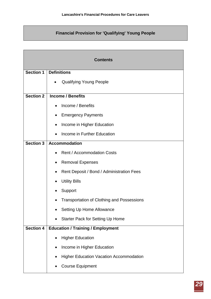# **Financial Provision for 'Qualifying' Young People**

| <b>Contents</b>  |                                                                |
|------------------|----------------------------------------------------------------|
| <b>Section 1</b> | <b>Definitions</b>                                             |
|                  | <b>Qualifying Young People</b>                                 |
| <b>Section 2</b> | <b>Income / Benefits</b>                                       |
|                  | Income / Benefits                                              |
|                  | <b>Emergency Payments</b>                                      |
|                  | Income in Higher Education<br>$\bullet$                        |
|                  | Income in Further Education                                    |
| <b>Section 3</b> | <b>Accommodation</b>                                           |
|                  | <b>Rent / Accommodation Costs</b><br>$\bullet$                 |
|                  | <b>Removal Expenses</b>                                        |
|                  | Rent Deposit / Bond / Administration Fees                      |
|                  | <b>Utility Bills</b>                                           |
|                  | Support                                                        |
|                  | <b>Transportation of Clothing and Possessions</b><br>$\bullet$ |
|                  | Setting Up Home Allowance                                      |
|                  | <b>Starter Pack for Setting Up Home</b>                        |
| Section 4        | <b>Education / Training / Employment</b>                       |
|                  | <b>Higher Education</b>                                        |
|                  | Income in Higher Education                                     |
|                  | <b>Higher Education Vacation Accommodation</b>                 |
|                  | <b>Course Equipment</b>                                        |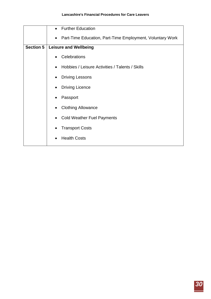|                  | <b>Further Education</b><br>$\bullet$                                  |
|------------------|------------------------------------------------------------------------|
|                  | Part-Time Education, Part-Time Employment, Voluntary Work<br>$\bullet$ |
| <b>Section 5</b> | <b>Leisure and Wellbeing</b>                                           |
|                  | Celebrations                                                           |
|                  | Hobbies / Leisure Activities / Talents / Skills                        |
|                  | <b>Driving Lessons</b>                                                 |
|                  | <b>Driving Licence</b><br>$\bullet$                                    |
|                  | Passport                                                               |
|                  | <b>Clothing Allowance</b>                                              |
|                  | <b>Cold Weather Fuel Payments</b>                                      |
|                  | <b>Transport Costs</b>                                                 |
|                  | <b>Health Costs</b>                                                    |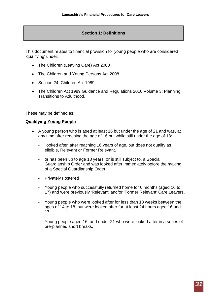# **Section 1: Definitions**

This document relates to financial provision for young people who are considered 'qualifying' under:

- The Children (Leaving Care) Act 2000
- The Children and Young Persons Act 2008
- Section 24, Children Act 1989
- The Children Act 1989 Guidance and Regulations 2010 Volume 3: Planning Transitions to Adulthood.

These may be defined as:

#### **Qualifying Young People**

- A young person who is aged at least 16 but under the age of 21 and was, at any time after reaching the age of 16 but while still under the age of 18:
	- 'looked after' after reaching 16 years of age, but does not qualify as eligible, Relevant or Former Relevant.
	- or has been up to age 18 years, or is still subject to, a Special Guardianship Order and was looked after immediately before the making of a Special Guardianship Order.
	- Privately Fostered
	- Young people who successfully returned home for 6 months (aged 16 to 17) and were previously 'Relevant' and/or 'Former Relevant' Care Leavers.
	- Young people who were looked after for less than 13 weeks between the ages of 14 to 18, but were looked after for at least 24 hours aged 16 and 17.
	- Young people aged 16, and under 21 who were looked after in a series of pre-planned short breaks.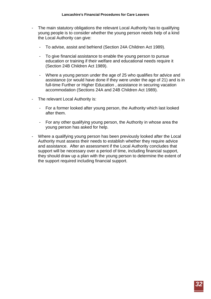- The main statutory obligations the relevant Local Authority has to qualifying young people is to consider whether the young person needs help of a kind the Local Authority can give:
	- To advise, assist and befriend (Section 24A Children Act 1989).
	- To give financial assistance to enable the young person to pursue education or training if their welfare and educational needs require it (Section 24B Children Act 1989).
	- Where a young person under the age of 25 who qualifies for advice and assistance (or would have done if they were under the age of 21) and is in full-time Further or Higher Education , assistance in securing vacation accommodation (Sections 24A and 24B Children Act 1989).
- The relevant Local Authority is:
	- For a former looked after young person, the Authority which last looked after them.
	- For any other qualifying young person, the Authority in whose area the young person has asked for help.
- Where a qualifying young person has been previously looked after the Local Authority must assess their needs to establish whether they require advice and assistance. After an assessment if the Local Authority concludes that support will be necessary over a period of time, including financial support, they should draw up a plan with the young person to determine the extent of the support required including financial support.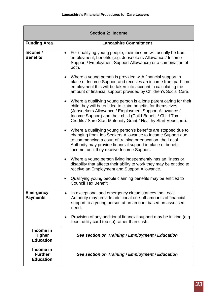| <b>Section 2: Income</b>                        |                                                                                                                                                                                                                                                                                                                              |  |
|-------------------------------------------------|------------------------------------------------------------------------------------------------------------------------------------------------------------------------------------------------------------------------------------------------------------------------------------------------------------------------------|--|
| <b>Funding Area</b>                             | <b>Lancashire Commitment</b>                                                                                                                                                                                                                                                                                                 |  |
| Income /<br><b>Benefits</b>                     | For qualifying young people, their income will usually be from<br>$\bullet$<br>employment, benefits (e.g. Jobseekers Allowance / Income<br>Support / Employment Support Allowance) or a combination of<br>both.                                                                                                              |  |
|                                                 | Where a young person is provided with financial support in<br>$\bullet$<br>place of Income Support and receives an income from part-time<br>employment this will be taken into account in calculating the<br>amount of financial support provided by Children's Social Care.                                                 |  |
|                                                 | Where a qualifying young person is a lone parent caring for their<br>child they will be entitled to claim benefits for themselves<br>(Jobseekers Allowance / Employment Support Allowance /<br>Income Support) and their child (Child Benefit / Child Tax<br>Credits / Sure Start Maternity Grant / Healthy Start Vouchers). |  |
|                                                 | Where a qualifying young person's benefits are stopped due to<br>$\bullet$<br>changing from Job Seekers Allowance to Income Support due<br>to commencing a court of training or education, the Local<br>Authority may provide financial support in place of benefit<br>income, until they receive Income Support.            |  |
|                                                 | Where a young person living independently has an illness or<br>$\bullet$<br>disability that affects their ability to work they may be entitled to<br>receive an Employment and Support Allowance.                                                                                                                            |  |
|                                                 | Qualifying young people claiming benefits may be entitled to<br><b>Council Tax Benefit.</b>                                                                                                                                                                                                                                  |  |
| <b>Emergency</b><br><b>Payments</b>             | In exceptional and emergency circumstances the Local<br>Authority may provide additional one-off amounts of financial<br>support to a young person at an amount based on assessed<br>need.                                                                                                                                   |  |
|                                                 | Provision of any additional financial support may be in kind (e.g.<br>$\bullet$<br>food, utility card top up) rather than cash.                                                                                                                                                                                              |  |
| Income in<br><b>Higher</b><br><b>Education</b>  | See section on Training / Employment / Education                                                                                                                                                                                                                                                                             |  |
| Income in<br><b>Further</b><br><b>Education</b> | See section on Training / Employment / Education                                                                                                                                                                                                                                                                             |  |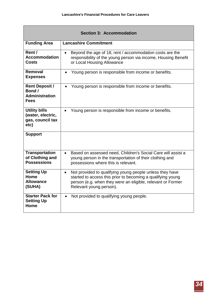| <b>Section 3: Accommodation</b>                                         |                                                                                                                                                                                                                                |
|-------------------------------------------------------------------------|--------------------------------------------------------------------------------------------------------------------------------------------------------------------------------------------------------------------------------|
| <b>Funding Area</b>                                                     | <b>Lancashire Commitment</b>                                                                                                                                                                                                   |
| Rent /<br><b>Accommodation</b><br><b>Costs</b>                          | Beyond the age of 18, rent / accommodation costs are the<br>$\bullet$<br>responsibility of the young person via income, Housing Benefit<br>or Local Housing Allowance                                                          |
| Removal<br><b>Expenses</b>                                              | Young person is responsible from income or benefits.<br>$\bullet$                                                                                                                                                              |
| <b>Rent Deposit /</b><br>Bond /<br><b>Administration</b><br><b>Fees</b> | Young person is responsible from income or benefits.<br>$\bullet$                                                                                                                                                              |
| <b>Utility bills</b><br>(water, electric,<br>gas, council tax<br>etc)   | Young person is responsible from income or benefits.<br>$\bullet$                                                                                                                                                              |
| <b>Support</b>                                                          |                                                                                                                                                                                                                                |
| <b>Transportation</b><br>of Clothing and<br><b>Possessions</b>          | Based on assessed need, Children's Social Care will assist a<br>$\bullet$<br>young person in the transportation of their clothing and<br>possessions where this is relevant.                                                   |
| <b>Setting Up</b><br>Home<br><b>Allowance</b><br>(SUHA)                 | Not provided to qualifying young people unless they have<br>$\bullet$<br>started to access this prior to becoming a qualifying young<br>person (e.g. when they were an eligible, relevant or Former<br>Relevant young person). |
| <b>Starter Pack for</b><br><b>Setting Up</b><br>Home                    | Not provided to qualifying young people.<br>$\bullet$                                                                                                                                                                          |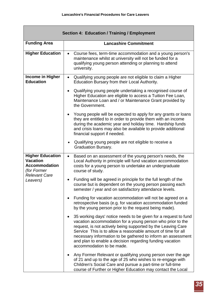| <b>Section 4: Education / Training / Employment</b>                               |                                                                                                                                                                                                                                                                                                                                                                                                                        |  |
|-----------------------------------------------------------------------------------|------------------------------------------------------------------------------------------------------------------------------------------------------------------------------------------------------------------------------------------------------------------------------------------------------------------------------------------------------------------------------------------------------------------------|--|
| <b>Funding Area</b>                                                               | <b>Lancashire Commitment</b>                                                                                                                                                                                                                                                                                                                                                                                           |  |
| <b>Higher Education</b>                                                           | Course fees, term-time accommodation and a young person's<br>$\bullet$<br>maintenance whilst at university will not be funded for a<br>qualifying young person attending or planning to attend<br>university.                                                                                                                                                                                                          |  |
| Income in Higher<br><b>Education</b>                                              | Qualifying young people are not eligible to claim a Higher<br>$\bullet$<br>Education Bursary from their Local Authority.                                                                                                                                                                                                                                                                                               |  |
|                                                                                   | Qualifying young people undertaking a recognised course of<br>$\bullet$<br>Higher Education are eligible to access a Tuition Fee Loan,<br>Maintenance Loan and / or Maintenance Grant provided by<br>the Government.                                                                                                                                                                                                   |  |
|                                                                                   | Young people will be expected to apply for any grants or loans<br>$\bullet$<br>they are entitled to in order to provide them with an income<br>during the academic year and holiday time. Hardship funds<br>and crisis loans may also be available to provide additional<br>financial support if needed.                                                                                                               |  |
|                                                                                   | Qualifying young people are not eligible to receive a<br><b>Graduation Bursary.</b>                                                                                                                                                                                                                                                                                                                                    |  |
| <b>Higher Education</b><br><b>Vacation</b><br><b>Accommodation</b><br>(for Former | Based on an assessment of the young person's needs, the<br>$\bullet$<br>Local Authority in principle will fund vacation accommodation<br>costs for a young person to undertake an undergraduate<br>course of study.                                                                                                                                                                                                    |  |
| <b>Relevant Care</b><br>Leavers)                                                  | Funding will be agreed in principle for the full length of the<br>course but is dependent on the young person passing each<br>semester / year and on satisfactory attendance levels.                                                                                                                                                                                                                                   |  |
|                                                                                   | Funding for vacation accommodation will not be agreed on a<br>retrospective basis (e.g. for vacation accommodation funded<br>by the young person prior to the request being made).                                                                                                                                                                                                                                     |  |
|                                                                                   | 35 working days' notice needs to be given for a request to fund<br>vacation accommodation for a young person who prior to the<br>request, is not actively being supported by the Leaving Care<br>Service This is to allow a reasonable amount of time for all<br>necessary information to be gathered to inform an assessment<br>and plan to enable a decision regarding funding vacation<br>accommodation to be made. |  |
|                                                                                   | Any Former Relevant or qualifying young person over the age<br>of 21 and up to the age of 25 who wishes to re-engage with<br>Children's Social Care and pursue a part-time or full-time<br>course of Further or Higher Education may contact the Local                                                                                                                                                                 |  |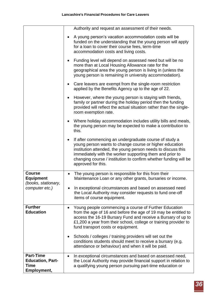|                                                                    | Authority and request an assessment of their needs.                                                                                                                                                                                                                                                                                                  |
|--------------------------------------------------------------------|------------------------------------------------------------------------------------------------------------------------------------------------------------------------------------------------------------------------------------------------------------------------------------------------------------------------------------------------------|
|                                                                    | A young person's vacation accommodation costs will be<br>funded on the understanding that the young person will apply<br>for a loan to cover their course fees, term-time<br>accommodation costs and living costs.                                                                                                                                   |
|                                                                    | Funding level will depend on assessed need but will be no<br>more than at Local Housing Allowance rate for the<br>geographical area the young person is living in (unless the<br>young person is remaining in university accommodation).                                                                                                             |
|                                                                    | Care leavers are exempt from the single-room restriction<br>applied by the Benefits Agency up to the age of 22.                                                                                                                                                                                                                                      |
|                                                                    | However, where the young person is staying with friends,<br>family or partner during the holiday period then the funding<br>provided will reflect the actual situation rather than the single-<br>room exemption rate.                                                                                                                               |
|                                                                    | Where holiday accommodation includes utility bills and meals,<br>٠<br>the young person may be expected to make a contribution to<br>this.                                                                                                                                                                                                            |
|                                                                    | If after commencing an undergraduate course of study a<br>$\bullet$<br>young person wants to change course or higher education<br>institution attended, the young person needs to discuss this<br>immediately with the worker supporting them and prior to<br>changing course / institution to confirm whether funding will be<br>approved for this. |
| <b>Course</b><br><b>Equipment</b><br>(books, stationary,           | The young person is responsible for this from their<br>Maintenance Loan or any other grants, bursaries or income.                                                                                                                                                                                                                                    |
| computer etc.)                                                     | In exceptional circumstances and based on assessed need<br>the Local Authority may consider requests to fund one-off<br>items of course equipment.                                                                                                                                                                                                   |
| <b>Further</b><br><b>Education</b>                                 | Young people commencing a course of Further Education<br>$\bullet$<br>from the age of 16 and before the age of 19 may be entitled to<br>access the 16-19 Bursary Fund and receive a Bursary of up to<br>£1,200 a year from their school, college or training provider to<br>fund transport costs or equipment.                                       |
|                                                                    | Schools / colleges / training providers will set out the<br>conditions students should meet to receive a bursary (e.g.<br>attendance or behaviour) and when it will be paid.                                                                                                                                                                         |
| <b>Part-Time</b><br><b>Education, Part-</b><br>Time<br>Employment, | In exceptional circumstances and based on assessed need,<br>the Local Authority may provide financial support in relation to<br>a qualifying young person pursuing part-time education or                                                                                                                                                            |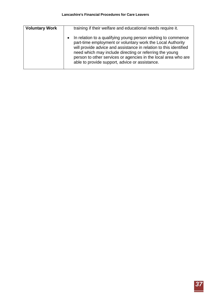| <b>Voluntary Work</b> | training if their welfare and educational needs require it.                                                                                                                                                                                                                                                                                                                      |
|-----------------------|----------------------------------------------------------------------------------------------------------------------------------------------------------------------------------------------------------------------------------------------------------------------------------------------------------------------------------------------------------------------------------|
|                       | • In relation to a qualifying young person wishing to commence<br>part-time employment or voluntary work the Local Authority<br>will provide advice and assistance in relation to this identified<br>need which may include directing or referring the young<br>person to other services or agencies in the local area who are<br>able to provide support, advice or assistance. |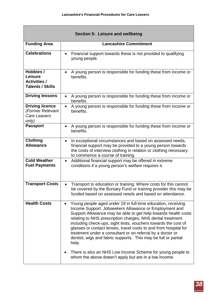| Section 5: Leisure and wellbeing                                              |                                                                                                                                                                                                                                                                                                                                                                                                                                                                                                                                                                                                                  |  |
|-------------------------------------------------------------------------------|------------------------------------------------------------------------------------------------------------------------------------------------------------------------------------------------------------------------------------------------------------------------------------------------------------------------------------------------------------------------------------------------------------------------------------------------------------------------------------------------------------------------------------------------------------------------------------------------------------------|--|
| <b>Funding Area</b>                                                           | <b>Lancashire Commitment</b>                                                                                                                                                                                                                                                                                                                                                                                                                                                                                                                                                                                     |  |
| <b>Celebrations</b>                                                           | Financial support towards these is not provided to qualifying<br>$\bullet$<br>young people.                                                                                                                                                                                                                                                                                                                                                                                                                                                                                                                      |  |
| Hobbies /<br><b>Leisure</b><br><b>Activities /</b><br><b>Talents / Skills</b> | A young person is responsible for funding these from income or<br>benefits.                                                                                                                                                                                                                                                                                                                                                                                                                                                                                                                                      |  |
| <b>Driving lessons</b>                                                        | A young person is responsible for funding these from income or<br>$\bullet$<br>benefits.                                                                                                                                                                                                                                                                                                                                                                                                                                                                                                                         |  |
| <b>Driving licence</b><br>(Former Relevant<br>Care Leavers<br>only)           | A young person is responsible for funding these from income or<br>$\bullet$<br>benefits.                                                                                                                                                                                                                                                                                                                                                                                                                                                                                                                         |  |
| <b>Passport</b>                                                               | A young person is responsible for funding these from income or<br>$\bullet$<br>benefits.                                                                                                                                                                                                                                                                                                                                                                                                                                                                                                                         |  |
| <b>Clothing</b><br><b>Allowance</b>                                           | In exceptional circumstances and based on assessed needs,<br>$\bullet$<br>financial support may be provided to a young person towards<br>the costs of interview clothing in relation or clothing necessary<br>to commence a course of training.                                                                                                                                                                                                                                                                                                                                                                  |  |
| <b>Cold Weather</b><br><b>Fuel Payments</b>                                   | Additional financial support may be offered in extreme<br>$\bullet$<br>conditions if a young person's welfare requires it.                                                                                                                                                                                                                                                                                                                                                                                                                                                                                       |  |
| <b>Transport Costs</b>                                                        | Transport to education or training: Where costs for this cannot<br>be covered by the Bursary Fund or training provider this may be<br>funded based on assessed needs and based on attendance.                                                                                                                                                                                                                                                                                                                                                                                                                    |  |
| <b>Health Costs</b>                                                           | Young people aged under 19 in full-time education, receiving<br>$\bullet$<br>Income Support, Jobseekers Allowance or Employment and<br>Support Allowance may be able to get help towards health costs<br>relating to NHS prescription charges, NHS dental treatment<br>including check-ups, sight tests, vouchers towards the cost of<br>glasses or contact lenses, travel costs to and from hospital for<br>treatment under a consultant or on referral by a doctor or<br>dentist, wigs and fabric supports. This may be full or partial<br>help.<br>There is also an NHS Low Income Scheme for young people to |  |
|                                                                               | whom the above doesn't apply but are in a low income.                                                                                                                                                                                                                                                                                                                                                                                                                                                                                                                                                            |  |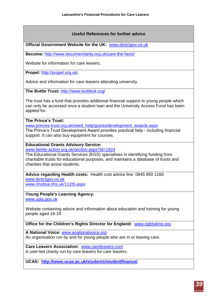# **Useful References for further advice**

**Official Government Website for the UK:** [www.directgov.co.uk](http://www.directgov.co.uk/)

**Become:** <http://www.becomecharity.org.uk/care-the-facts/>

Website for information for care leavers.

**Propel:** <http://propel.org.uk/>

Advice and information for care leavers attending university.

**The Buttle Trust:** <http://www.buttleuk.org/>

The trust has a fund that provides additional financial support to young people which can only be accessed once a student loan and the University Access Fund has been applied for.

#### **The Prince's Trust:**

www.princes-trust.org.uk/need\_help/grants/development\_awards.aspx The Prince's Trust Development Award provides practical help - including financial support. It can also buy equipment for courses.

## **Educational Grants Advisory Service:**

www.family-action.org.uk/section.aspx?id=1924

The Educational Grants Services (EGS) specialises in identifying funding from charitable trusts for educational purposes, and maintains a database of trusts and charities that assist students.

**Advice regarding Health costs:** Health cost advice line: 0845 850 1166 [www.directgov.co.uk](http://www.directgov.co.uk/) [www.nhsbsa.nhs.uk/112t5.aspx](http://www.nhsbsa.nhs.uk/112t5.aspx)

**Young People's Learning Agency:** [www.ypla.gov.uk](http://www.ypla.gov.uk/)

Website containing advice and information about education and training for young people aged 16-19.

**Office for the Children's Rights Director for England:** [www.rights4me.org](http://www.rights4me.org/)

**A National Voice:** [www.anationalvoice.org](http://www.anationalvoice.org/)

An organisation run by and for young people who are in or leaving care.

**Care Leavers Association:** [www.careleavers.com](http://www.careleavers.com/) A user-led charity run by care leavers for care leavers.

**UCAS: <http://www.ucas.ac.uk/students/studentfinance/>**